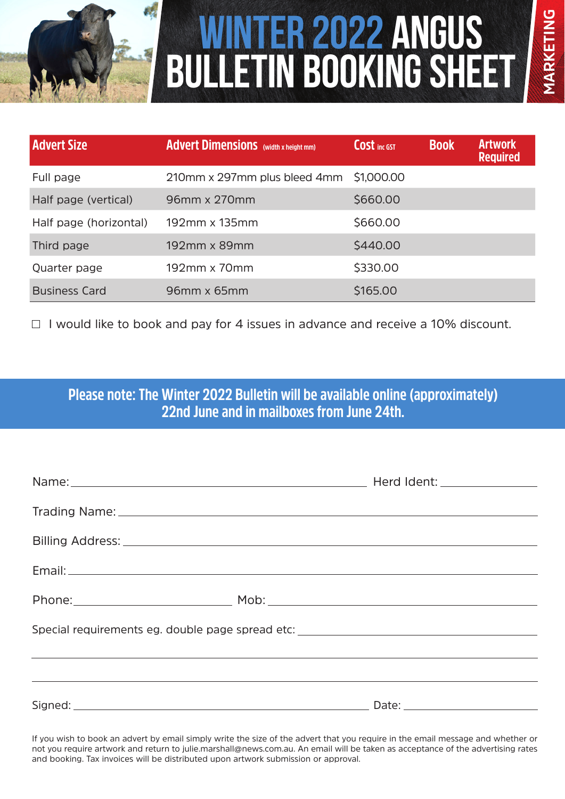

# **Winter 2022 Angus Bulletin BOOKING SHEET**

| <b>Advert Size</b>     | <b>Advert Dimensions</b> (width x height mm) | <b>COSt</b> inc GST | <b>Book</b> | <b>Artwork</b><br><b>Required</b> |
|------------------------|----------------------------------------------|---------------------|-------------|-----------------------------------|
| Full page              | 210mm x 297mm plus bleed 4mm                 | \$1,000.00          |             |                                   |
| Half page (vertical)   | 96mm x 270mm                                 | \$660.00            |             |                                   |
| Half page (horizontal) | 192mm x 135mm                                | \$660.00            |             |                                   |
| Third page             | 192mm x 89mm                                 | \$440.00            |             |                                   |
| Quarter page           | 192mm x 70mm                                 | \$330.00            |             |                                   |
| <b>Business Card</b>   | 96mm x 65mm                                  | \$165.00            |             |                                   |

 $\Box$  I would like to book and pay for 4 issues in advance and receive a 10% discount.

**Please note: The Winter 2022 Bulletin will be available online (approximately) 22nd June and in mailboxes from June 24th.**

| Name: Name: Name: Name: Name: Name: Name: Name: Name: Name: Name: Name: Name: Name: Name: Name: Name: Name: Name: Name: Name: Name: Name: Name: Name: Name: Name: Name: Name: Name: Name: Name: Name: Name: Name: Name: Name: |  | Herd Ident: _________________ |  |  |  |
|-------------------------------------------------------------------------------------------------------------------------------------------------------------------------------------------------------------------------------|--|-------------------------------|--|--|--|
|                                                                                                                                                                                                                               |  |                               |  |  |  |
|                                                                                                                                                                                                                               |  |                               |  |  |  |
|                                                                                                                                                                                                                               |  |                               |  |  |  |
|                                                                                                                                                                                                                               |  |                               |  |  |  |
| Special requirements eg. double page spread etc: _______________________________                                                                                                                                              |  |                               |  |  |  |
|                                                                                                                                                                                                                               |  |                               |  |  |  |
|                                                                                                                                                                                                                               |  |                               |  |  |  |
|                                                                                                                                                                                                                               |  |                               |  |  |  |

If you wish to book an advert by email simply write the size of the advert that you require in the email message and whether or not you require artwork and return to julie.marshall@news.com.au. An email will be taken as acceptance of the advertising rates and booking. Tax invoices will be distributed upon artwork submission or approval.